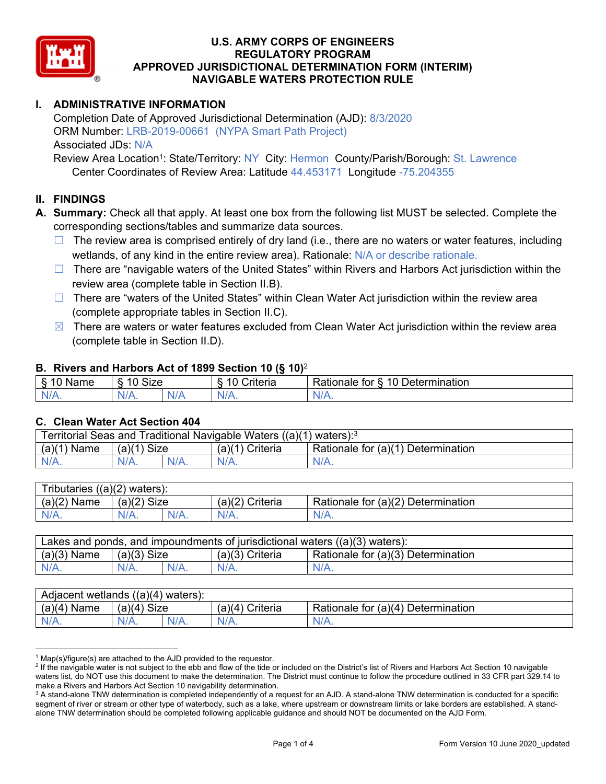

# **I. ADMINISTRATIVE INFORMATION**

Completion Date of Approved Jurisdictional Determination (AJD): 8/3/2020 ORM Number: LRB-2019-00661 (NYPA Smart Path Project) Associated JDs: N/A

Review Area Location<sup>1</sup>: State/Territory: NY City: Hermon County/Parish/Borough: St. Lawrence Center Coordinates of Review Area: Latitude 44.453171 Longitude -75.204355

# **II. FINDINGS**

**A. Summary:** Check all that apply. At least one box from the following list MUST be selected. Complete the corresponding sections/tables and summarize data sources.

- $\Box$  The review area is comprised entirely of dry land (i.e., there are no waters or water features, including wetlands, of any kind in the entire review area). Rationale: N/A or describe rationale.
- $\Box$  There are "navigable waters of the United States" within Rivers and Harbors Act jurisdiction within the review area (complete table in Section II.B).
- $\Box$  There are "waters of the United States" within Clean Water Act jurisdiction within the review area (complete appropriate tables in Section II.C).
- $\boxtimes$  There are waters or water features excluded from Clean Water Act jurisdiction within the review area (complete table in Section II.D).

#### **B. Rivers and Harbors Act of 1899 Section 10 (§ 10)**<sup>2</sup>

| $\cdot$                    |                               |     |                |                                                                                                 |  |  |  |  |  |
|----------------------------|-------------------------------|-----|----------------|-------------------------------------------------------------------------------------------------|--|--|--|--|--|
| R<br>$\cdots$<br>Nai<br>ن. | <b>Size</b><br>$\overline{A}$ |     | 10<br>`rıt∆rır | $\overline{\phantom{a}}$<br>10<br>Jetermination<br>$-1 - 1 - 1$<br>tor<br>ationale <sup>7</sup> |  |  |  |  |  |
| N/I<br>.                   | N/A.                          | NIA | ALZ.<br>17.    | 11 I V.                                                                                         |  |  |  |  |  |

#### **C. Clean Water Act Section 404**

| Territorial Seas and Traditional Navigable Waters $((a)(1)$ waters): <sup>3</sup> |                |  |                       |                                    |  |  |  |
|-----------------------------------------------------------------------------------|----------------|--|-----------------------|------------------------------------|--|--|--|
| (a)(1)<br>Name                                                                    | Size<br>(a)(1) |  | (a)(1)<br>') Criteria | Rationale for (a)(1) Determination |  |  |  |
| $N/A$ .                                                                           | $N/A$ .        |  | N/A.                  | $N/A$ .                            |  |  |  |

| ((a)(2))<br>ributaries<br>) waters): |                    |  |                    |                                    |  |  |  |  |
|--------------------------------------|--------------------|--|--------------------|------------------------------------|--|--|--|--|
| (a)(2)<br>Name                       | (a)(2)<br>Size     |  | (a)(2)<br>Criteria | Rationale for (a)(2) Determination |  |  |  |  |
| $N/A$ .                              | $N/A$ .<br>$N/A$ . |  | $N/A$ .            | N/A.                               |  |  |  |  |

| Lakes and ponds, and impoundments of jurisdictional waters $((a)(3)$ waters): |               |  |                   |                                    |  |  |  |
|-------------------------------------------------------------------------------|---------------|--|-------------------|------------------------------------|--|--|--|
| $(a)(3)$ Name                                                                 | $(a)(3)$ Size |  | $(a)(3)$ Criteria | Rationale for (a)(3) Determination |  |  |  |
| $N/A$ .                                                                       | $N/A$ .       |  | $N/A$ .           | $N/A$ .                            |  |  |  |

| Adjacent wetlands<br>((a)(4)<br>waters). |                       |  |                   |                                    |  |  |  |  |
|------------------------------------------|-----------------------|--|-------------------|------------------------------------|--|--|--|--|
| (a)(4)<br>Name                           | <b>Size</b><br>(a)(4) |  | (a)(4<br>Criteria | Rationale for (a)(4) Determination |  |  |  |  |
| N/A.                                     | $N/A$ .<br>N/A.       |  | $N/A$ .           | $N/A$ .                            |  |  |  |  |

<sup>&</sup>lt;sup>1</sup> Map(s)/figure(s) are attached to the AJD provided to the requestor.<br><sup>2</sup> If the navigable water is not subject to the ebb and flow of the tide o

<sup>&</sup>lt;sup>2</sup> If the navigable water is not subject to the ebb and flow of the tide or included on the District's list of Rivers and Harbors Act Section 10 navigable waters list, do NOT use this document to make the determination. The District must continue to follow the procedure outlined in 33 CFR part 329.14 to make a Rivers and Harbors Act Section 10 navigability determination.

 $^3$  A stand-alone TNW determination is completed independently of a request for an AJD. A stand-alone TNW determination is conducted for a specific segment of river or stream or other type of waterbody, such as a lake, where upstream or downstream limits or lake borders are established. A standalone TNW determination should be completed following applicable guidance and should NOT be documented on the AJD Form.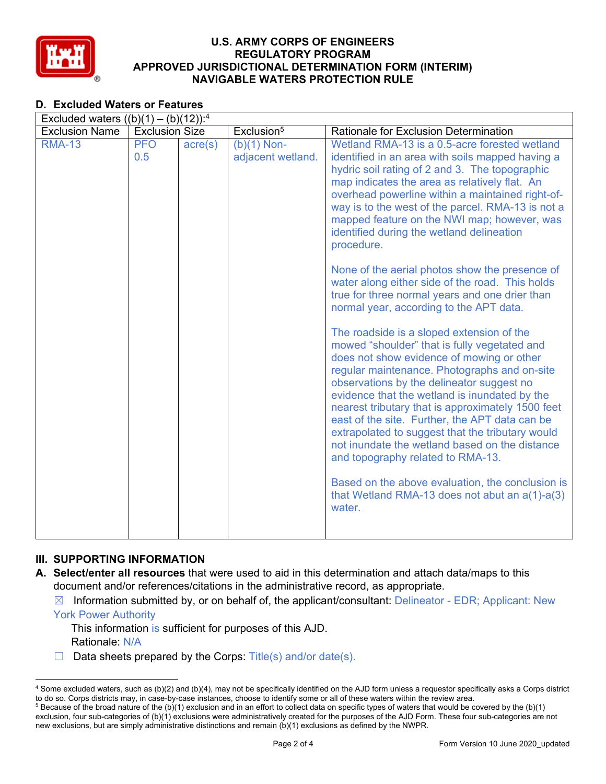

# **D. Excluded Waters or Features**

| Excluded waters $((b)(1) - (b)(12))$ : <sup>4</sup> |                       |                  |                                    |                                                                                                                                                                                                                                                                                                                                                                                                                                                                                                                                                                                                                                                                                                                                                                                                                                                                                                                                                                                                                                                                                                                                                                                                                                                                                           |  |  |  |  |
|-----------------------------------------------------|-----------------------|------------------|------------------------------------|-------------------------------------------------------------------------------------------------------------------------------------------------------------------------------------------------------------------------------------------------------------------------------------------------------------------------------------------------------------------------------------------------------------------------------------------------------------------------------------------------------------------------------------------------------------------------------------------------------------------------------------------------------------------------------------------------------------------------------------------------------------------------------------------------------------------------------------------------------------------------------------------------------------------------------------------------------------------------------------------------------------------------------------------------------------------------------------------------------------------------------------------------------------------------------------------------------------------------------------------------------------------------------------------|--|--|--|--|
| <b>Exclusion Name</b>                               | <b>Exclusion Size</b> |                  | Exclusion <sup>5</sup>             | Rationale for Exclusion Determination                                                                                                                                                                                                                                                                                                                                                                                                                                                                                                                                                                                                                                                                                                                                                                                                                                                                                                                                                                                                                                                                                                                                                                                                                                                     |  |  |  |  |
| <b>RMA-13</b>                                       | <b>PFO</b><br>0.5     | $\text{acre}(s)$ | $(b)(1)$ Non-<br>adjacent wetland. | Wetland RMA-13 is a 0.5-acre forested wetland<br>identified in an area with soils mapped having a<br>hydric soil rating of 2 and 3. The topographic<br>map indicates the area as relatively flat. An<br>overhead powerline within a maintained right-of-<br>way is to the west of the parcel. RMA-13 is not a<br>mapped feature on the NWI map; however, was<br>identified during the wetland delineation<br>procedure.<br>None of the aerial photos show the presence of<br>water along either side of the road. This holds<br>true for three normal years and one drier than<br>normal year, according to the APT data.<br>The roadside is a sloped extension of the<br>mowed "shoulder" that is fully vegetated and<br>does not show evidence of mowing or other<br>regular maintenance. Photographs and on-site<br>observations by the delineator suggest no<br>evidence that the wetland is inundated by the<br>nearest tributary that is approximately 1500 feet<br>east of the site. Further, the APT data can be<br>extrapolated to suggest that the tributary would<br>not inundate the wetland based on the distance<br>and topography related to RMA-13.<br>Based on the above evaluation, the conclusion is<br>that Wetland RMA-13 does not abut an $a(1)$ - $a(3)$<br>water. |  |  |  |  |
|                                                     |                       |                  |                                    |                                                                                                                                                                                                                                                                                                                                                                                                                                                                                                                                                                                                                                                                                                                                                                                                                                                                                                                                                                                                                                                                                                                                                                                                                                                                                           |  |  |  |  |

## **III. SUPPORTING INFORMATION**

- **A. Select/enter all resources** that were used to aid in this determination and attach data/maps to this document and/or references/citations in the administrative record, as appropriate.
	- $\boxtimes$  Information submitted by, or on behalf of, the applicant/consultant: Delineator EDR; Applicant: New

York Power Authority

This information is sufficient for purposes of this AJD. Rationale: N/A

 $\Box$  Data sheets prepared by the Corps: Title(s) and/or date(s).

<sup>4</sup> Some excluded waters, such as (b)(2) and (b)(4), may not be specifically identified on the AJD form unless a requestor specifically asks a Corps district to do so. Corps districts may, in case-by-case instances, choose to identify some or all of these waters within the review area.<br><sup>5</sup> Because of the broad nature of the (b)(1) exclusion and in an effort to collect data on s

exclusion, four sub-categories of (b)(1) exclusions were administratively created for the purposes of the AJD Form. These four sub-categories are not new exclusions, but are simply administrative distinctions and remain (b)(1) exclusions as defined by the NWPR.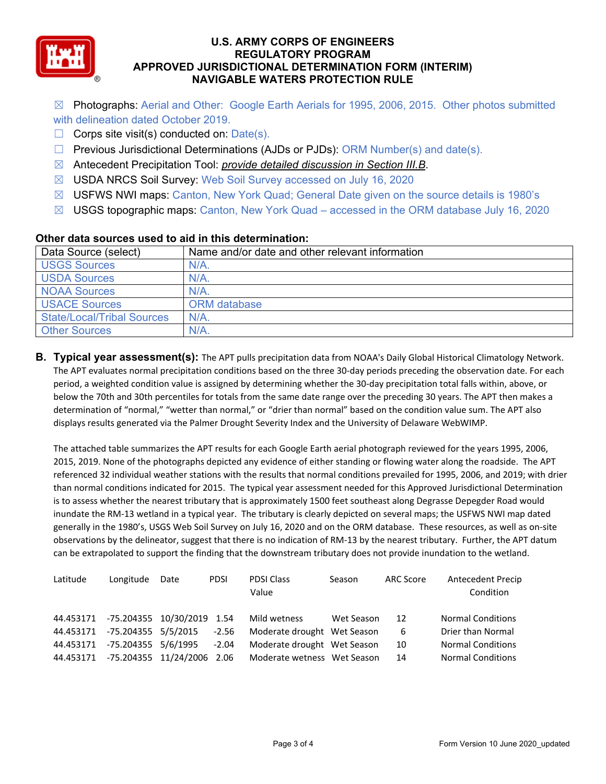

- ☒ Photographs: Aerial and Other: Google Earth Aerials for 1995, 2006, 2015. Other photos submitted with delineation dated October 2019.
- $\Box$  Corps site visit(s) conducted on: Date(s).
- $\Box$  Previous Jurisdictional Determinations (AJDs or PJDs): ORM Number(s) and date(s).
- ☒ Antecedent Precipitation Tool: *provide detailed discussion in Section III.B*.
- ☒ USDA NRCS Soil Survey: Web Soil Survey accessed on July 16, 2020
- ☒ USFWS NWI maps: Canton, New York Quad; General Date given on the source details is 1980's
- $\boxtimes$  USGS topographic maps: Canton, New York Quad accessed in the ORM database July 16, 2020

| Data Source (select)              | Name and/or date and other relevant information |
|-----------------------------------|-------------------------------------------------|
| <b>USGS Sources</b>               | $N/A$ .                                         |
| <b>USDA Sources</b>               | $N/A$ .                                         |
| <b>NOAA Sources</b>               | N/A                                             |
| <b>USACE Sources</b>              | ORM database                                    |
| <b>State/Local/Tribal Sources</b> | $N/A$ .                                         |
| <b>Other Sources</b>              | $N/A$ .                                         |

### **Other data sources used to aid in this determination:**

**B. Typical year assessment(s):** The APT pulls precipitation data from NOAA's Daily Global Historical Climatology Network. The APT evaluates normal precipitation conditions based on the three 30‐day periods preceding the observation date. For each period, a weighted condition value is assigned by determining whether the 30‐day precipitation total falls within, above, or below the 70th and 30th percentiles for totals from the same date range over the preceding 30 years. The APT then makes a determination of "normal," "wetter than normal," or "drier than normal" based on the condition value sum. The APT also displays results generated via the Palmer Drought Severity Index and the University of Delaware WebWIMP.

The attached table summarizes the APT results for each Google Earth aerial photograph reviewed for the years 1995, 2006, 2015, 2019. None of the photographs depicted any evidence of either standing or flowing water along the roadside. The APT referenced 32 individual weather stations with the results that normal conditions prevailed for 1995, 2006, and 2019; with drier than normal conditions indicated for 2015. The typical year assessment needed for this Approved Jurisdictional Determination is to assess whether the nearest tributary that is approximately 1500 feet southeast along Degrasse Depegder Road would inundate the RM‐13 wetland in a typical year. The tributary is clearly depicted on several maps; the USFWS NWI map dated generally in the 1980's, USGS Web Soil Survey on July 16, 2020 and on the ORM database. These resources, as well as on‐site observations by the delineator, suggest that there is no indication of RM‐13 by the nearest tributary. Further, the APT datum can be extrapolated to support the finding that the downstream tributary does not provide inundation to the wetland.

| Latitude  | Longitude                  | Date | <b>PDSI</b> | <b>PDSI Class</b><br>Value  | Season     | <b>ARC Score</b> | <b>Antecedent Precip</b><br>Condition |
|-----------|----------------------------|------|-------------|-----------------------------|------------|------------------|---------------------------------------|
| 44.453171 | -75.204355 10/30/2019 1.54 |      |             | Mild wetness                | Wet Season | 12               | <b>Normal Conditions</b>              |
| 44.453171 | -75.204355 5/5/2015        |      | $-2.56$     | Moderate drought Wet Season |            | 6                | Drier than Normal                     |
| 44.453171 | -75.204355 5/6/1995        |      | $-2.04$     | Moderate drought Wet Season |            | 10               | <b>Normal Conditions</b>              |
| 44.453171 | -75.204355 11/24/2006 2.06 |      |             | Moderate wetness Wet Season |            | 14               | <b>Normal Conditions</b>              |